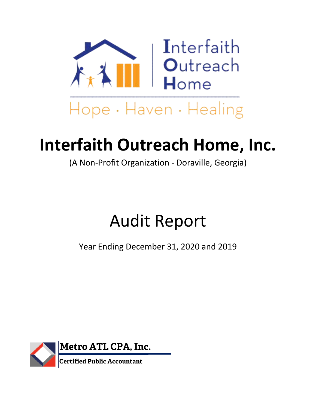

# Hope · Haven · Healing

## Interfaith Outreach Home, Inc.

(A Non-Profit Organization - Doraville, Georgia)

# Audit Report

Year Ending December 31, 2020 and 2019

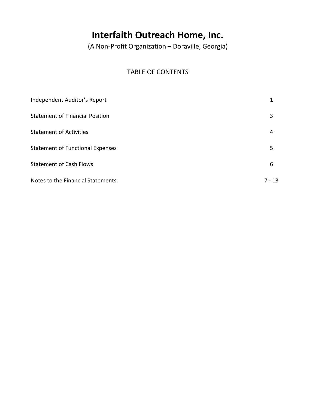(A Non-Profit Organization – Doraville, Georgia)

### TABLE OF CONTENTS

| Independent Auditor's Report            |        |
|-----------------------------------------|--------|
| <b>Statement of Financial Position</b>  | 3      |
| <b>Statement of Activities</b>          | 4      |
| <b>Statement of Functional Expenses</b> | 5      |
| <b>Statement of Cash Flows</b>          | 6      |
| Notes to the Financial Statements       | 7 - 13 |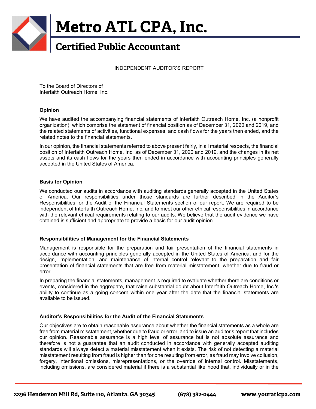

INDEPENDENT AUDITOR'S REPORT

To the Board of Directors of Interfaith Outreach Home, Inc.

#### Opinion

We have audited the accompanying financial statements of Interfaith Outreach Home, Inc. (a nonprofit organization), which comprise the statement of financial position as of December 31, 2020 and 2019, and the related statements of activities, functional expenses, and cash flows for the years then ended, and the related notes to the financial statements.

In our opinion, the financial statements referred to above present fairly, in all material respects, the financial position of Interfaith Outreach Home, Inc. as of December 31, 2020 and 2019, and the changes in its net assets and its cash flows for the years then ended in accordance with accounting principles generally accepted in the United States of America.

#### Basis for Opinion

We conducted our audits in accordance with auditing standards generally accepted in the United States of America. Our responsibilities under those standards are further described in the Auditor's Responsibilities for the Audit of the Financial Statements section of our report. We are required to be independent of Interfaith Outreach Home, Inc. and to meet our other ethical responsibilities in accordance with the relevant ethical requirements relating to our audits. We believe that the audit evidence we have obtained is sufficient and appropriate to provide a basis for our audit opinion.

#### Responsibilities of Management for the Financial Statements

Management is responsible for the preparation and fair presentation of the financial statements in accordance with accounting principles generally accepted in the United States of America, and for the design, implementation, and maintenance of internal control relevant to the preparation and fair presentation of financial statements that are free from material misstatement, whether due to fraud or error.

In preparing the financial statements, management is required to evaluate whether there are conditions or events, considered in the aggregate, that raise substantial doubt about Interfaith Outreach Home, Inc.'s ability to continue as a going concern within one year after the date that the financial statements are available to be issued.

#### Auditor's Responsibilities for the Audit of the Financial Statements

Our objectives are to obtain reasonable assurance about whether the financial statements as a whole are free from material misstatement, whether due to fraud or error, and to issue an auditor's report that includes our opinion. Reasonable assurance is a high level of assurance but is not absolute assurance and therefore is not a guarantee that an audit conducted in accordance with generally accepted auditing standards will always detect a material misstatement when it exists. The risk of not detecting a material misstatement resulting from fraud is higher than for one resulting from error, as fraud may involve collusion, forgery, intentional omissions, misrepresentations, or the override of internal control. Misstatements, including omissions, are considered material if there is a substantial likelihood that, individually or in the

**2296 Henderson Mill Rd, Suite 110, Atlanta, GA 30345 (678) 382-0444 www.youratlcpa.com**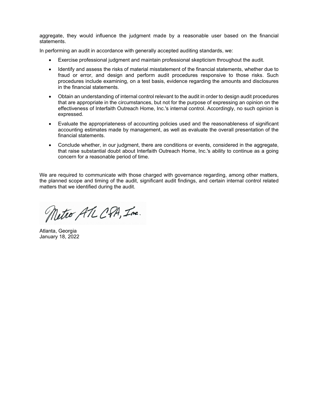aggregate, they would influence the judgment made by a reasonable user based on the financial statements.

In performing an audit in accordance with generally accepted auditing standards, we:

- Exercise professional judgment and maintain professional skepticism throughout the audit.
- Identify and assess the risks of material misstatement of the financial statements, whether due to fraud or error, and design and perform audit procedures responsive to those risks. Such procedures include examining, on a test basis, evidence regarding the amounts and disclosures in the financial statements.
- Obtain an understanding of internal control relevant to the audit in order to design audit procedures that are appropriate in the circumstances, but not for the purpose of expressing an opinion on the effectiveness of Interfaith Outreach Home, Inc.'s internal control. Accordingly, no such opinion is expressed.
- Evaluate the appropriateness of accounting policies used and the reasonableness of significant accounting estimates made by management, as well as evaluate the overall presentation of the financial statements.
- Conclude whether, in our judgment, there are conditions or events, considered in the aggregate, that raise substantial doubt about Interfaith Outreach Home, Inc.'s ability to continue as a going concern for a reasonable period of time.

We are required to communicate with those charged with governance regarding, among other matters, the planned scope and timing of the audit, significant audit findings, and certain internal control related matters that we identified during the audit.

Metro ATL CPA, Inc.

Atlanta, Georgia January 18, 2022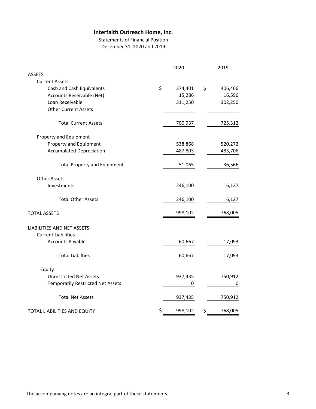Statements of Financial Position December 31, 2020 and 2019

|                                          | 2020          | 2019          |
|------------------------------------------|---------------|---------------|
| <b>ASSETS</b>                            |               |               |
| <b>Current Assets</b>                    |               |               |
| Cash and Cash Equivalents                | \$<br>374,401 | \$<br>406,466 |
| Accounts Receivable (Net)                | 15,286        | 16,596        |
| Loan Receivable                          | 311,250       | 302,250       |
| <b>Other Current Assets</b>              |               |               |
| <b>Total Current Assets</b>              | 700,937       | 725,312       |
| Property and Equipment                   |               |               |
| Property and Equipment                   | 538,868       | 520,272       |
| <b>Accumulated Depreciation</b>          | -487,803      | -483,706      |
| <b>Total Property and Equipment</b>      | 51,065        | 36,566        |
| <b>Other Assets</b>                      |               |               |
| Investments                              | 246,100       | 6,127         |
| <b>Total Other Assets</b>                | 246,100       | 6,127         |
| <b>TOTAL ASSETS</b>                      | 998,102       | 768,005       |
| LIABILITIES AND NET ASSETS               |               |               |
| <b>Current Liabilities</b>               |               |               |
| <b>Accounts Payable</b>                  | 60,667        | 17,093        |
| <b>Total Liabilties</b>                  | 60,667        | 17,093        |
| Equity                                   |               |               |
| <b>Unrestricted Net Assets</b>           | 937,435       | 750,912       |
| <b>Temporarily Restricted Net Assets</b> | 0             | 0             |
| <b>Total Net Assets</b>                  | 937,435       | 750,912       |
| TOTAL LIABILITIES AND EQUITY             | \$<br>998,102 | \$<br>768,005 |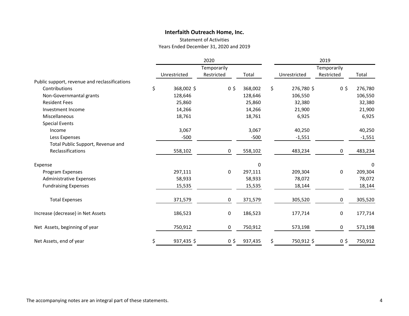#### Statement of Activities Years Ended December 31, 2020 and 2019

|                                               | 2020             |            |         | 2019             |             |          |  |
|-----------------------------------------------|------------------|------------|---------|------------------|-------------|----------|--|
|                                               | Temporarily      |            |         |                  | Temporarily |          |  |
|                                               | Unrestricted     | Restricted | Total   | Unrestricted     | Restricted  | Total    |  |
| Public support, revenue and reclassifications |                  |            |         |                  |             |          |  |
| Contributions                                 | \$<br>368,002 \$ | 0, 5       | 368,002 | \$<br>276,780 \$ | 0, 5        | 276,780  |  |
| Non-Governmantal grants                       | 128,646          |            | 128,646 | 106,550          |             | 106,550  |  |
| <b>Resident Fees</b>                          | 25,860           |            | 25,860  | 32,380           |             | 32,380   |  |
| Investment Income                             | 14,266           |            | 14,266  | 21,900           |             | 21,900   |  |
| Miscellaneous                                 | 18,761           |            | 18,761  | 6,925            |             | 6,925    |  |
| <b>Special Events</b>                         |                  |            |         |                  |             |          |  |
| Income                                        | 3,067            |            | 3,067   | 40,250           |             | 40,250   |  |
| Less Expenses                                 | $-500$           |            | $-500$  | $-1,551$         |             | $-1,551$ |  |
| Total Public Support, Revenue and             |                  |            |         |                  |             |          |  |
| Reclassifications                             | 558,102          | 0          | 558,102 | 483,234          | 0           | 483,234  |  |
| Expense                                       |                  |            | 0       |                  |             | 0        |  |
| Program Expenses                              | 297,111          | 0          | 297,111 | 209,304          | 0           | 209,304  |  |
| Administrative Expenses                       | 58,933           |            | 58,933  | 78,072           |             | 78,072   |  |
| <b>Fundraising Expenses</b>                   | 15,535           |            | 15,535  | 18,144           |             | 18,144   |  |
| <b>Total Expenses</b>                         | 371,579          | 0          | 371,579 | 305,520          | 0           | 305,520  |  |
| Increase (decrease) in Net Assets             | 186,523          | 0          | 186,523 | 177,714          | 0           | 177,714  |  |
| Net Assets, beginning of year                 | 750,912          | 0          | 750,912 | 573,198          | 0           | 573,198  |  |
| Net Assets, end of year                       | \$<br>937,435 \$ | 0, 5       | 937,435 | \$<br>750,912 \$ | 0, 5        | 750,912  |  |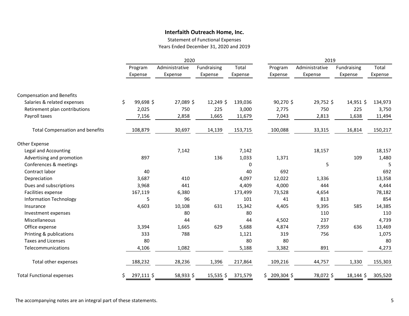#### Statement of Functional Expenses Years Ended December 31, 2020 and 2019

|                                        |                 | 2020           |             |         |               | 2019           |             |         |
|----------------------------------------|-----------------|----------------|-------------|---------|---------------|----------------|-------------|---------|
|                                        | Program         | Administrative | Fundraising | Total   | Program       | Administrative | Fundraising | Total   |
|                                        | Expense         | Expense        | Expense     | Expense | Expense       | Expense        | Expense     | Expense |
|                                        |                 |                |             |         |               |                |             |         |
| <b>Compensation and Benefits</b>       |                 |                |             |         |               |                |             |         |
| Salaries & related expenses            | \$<br>99,698 \$ | 27,089 \$      | 12,249 \$   | 139,036 | 90,270 \$     | 29,752 \$      | 14,951 \$   | 134,973 |
| Retirement plan contributions          | 2,025           | 750            | 225         | 3,000   | 2,775         | 750            | 225         | 3,750   |
| Payroll taxes                          | 7,156           | 2,858          | 1,665       | 11,679  | 7,043         | 2,813          | 1,638       | 11,494  |
| <b>Total Compensation and benefits</b> | 108,879         | 30,697         | 14,139      | 153,715 | 100,088       | 33,315         | 16,814      | 150,217 |
| <b>Other Expense</b>                   |                 |                |             |         |               |                |             |         |
| Legal and Accounting                   |                 | 7,142          |             | 7,142   |               | 18,157         |             | 18,157  |
| Advertising and promotion              | 897             |                | 136         | 1,033   | 1,371         |                | 109         | 1,480   |
| Conferences & meetings                 |                 |                |             | 0       |               | 5              |             |         |
| Contract labor                         | 40              |                |             | 40      | 692           |                |             | 692     |
| Depreciation                           | 3,687           | 410            |             | 4,097   | 12,022        | 1,336          |             | 13,358  |
| Dues and subscriptions                 | 3,968           | 441            |             | 4,409   | 4,000         | 444            |             | 4,444   |
| Facilities expense                     | 167,119         | 6,380          |             | 173,499 | 73,528        | 4,654          |             | 78,182  |
| <b>Information Technology</b>          | 5               | 96             |             | 101     | 41            | 813            |             | 854     |
| Insurance                              | 4,603           | 10,108         | 631         | 15,342  | 4,405         | 9,395          | 585         | 14,385  |
| Investment expenses                    |                 | 80             |             | 80      |               | 110            |             | 110     |
| Miscellaneous                          |                 | 44             |             | 44      | 4,502         | 237            |             | 4,739   |
| Office expense                         | 3,394           | 1,665          | 629         | 5,688   | 4,874         | 7,959          | 636         | 13,469  |
| Printing & publications                | 333             | 788            |             | 1,121   | 319           | 756            |             | 1,075   |
| <b>Taxes and Licenses</b>              | 80              |                |             | 80      | 80            |                |             | 80      |
| Telecommunications                     | 4,106           | 1,082          |             | 5,188   | 3,382         | 891            |             | 4,273   |
| Total other expenses                   | 188,232         | 28,236         | 1,396       | 217,864 | 109,216       | 44,757         | 1,330       | 155,303 |
| <b>Total Functional expenses</b>       | \$<br>297,111\$ | 58,933 \$      | $15,535$ \$ | 371,579 | $$209,304$ \$ | 78,072 \$      | 18,144 \$   | 305,520 |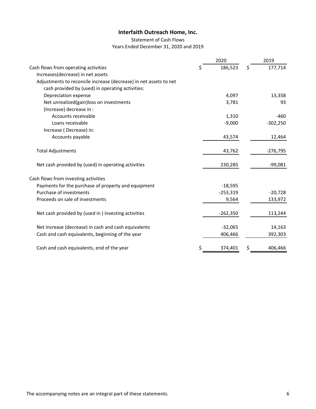Statement of Cash Flows

Years Ended December 31, 2020 and 2019

|                                                                   | 2020          |    | 2019       |
|-------------------------------------------------------------------|---------------|----|------------|
| Cash flows from operating activities                              | \$<br>186,523 | Ŝ  | 177,714    |
| Increases(decrease) in net assets                                 |               |    |            |
| Adjustments to reconcile increase (decrease) in net assets to net |               |    |            |
| cash provided by (used) in operating activities:                  |               |    |            |
| Depreciation expense                                              | 4,097         |    | 13,358     |
| Net unrealized(gain)loss on investments                           | 3,781         |    | 93         |
| (Increase) decrease in :                                          |               |    |            |
| Accounts receivable                                               | 1,310         |    | $-460$     |
| Loans receivable                                                  | $-9,000$      |    | $-302,250$ |
| Increase (Decrease) in:                                           |               |    |            |
| Accounts payable                                                  | 43,574        |    | 12,464     |
| <b>Total Adjustments</b>                                          | 43,762        |    | $-276,795$ |
| Net cash provided by (used) in operating activities               | 230,285       |    | $-99,081$  |
| Cash flows from investing activities                              |               |    |            |
| Payments for the purchase of property and equipment               | $-18,595$     |    |            |
| Purchase of investments                                           | $-253,319$    |    | $-20,728$  |
| Proceeds on sale of investments                                   | 9,564         |    | 133,972    |
| Net cash provided by (used in ) investing activities              | $-262,350$    |    | 113,244    |
| Net increase (decrease) in cash and cash equivalents              | $-32,065$     |    | 14,163     |
| Cash and cash equivalents, beginning of the year                  | 406,466       |    | 392,303    |
| Cash and cash equivalents, end of the year                        | \$<br>374,401 | \$ | 406,466    |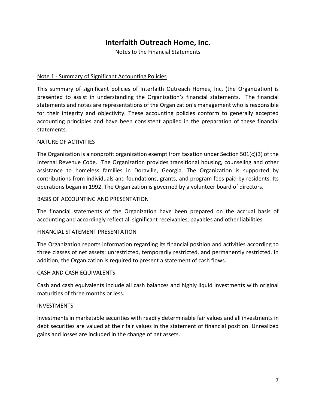Notes to the Financial Statements

#### Note 1 - Summary of Significant Accounting Policies

This summary of significant policies of Interfaith Outreach Homes, Inc, (the Organization) is presented to assist in understanding the Organization's financial statements. The financial statements and notes are representations of the Organization's management who is responsible for their integrity and objectivity. These accounting policies conform to generally accepted accounting principles and have been consistent applied in the preparation of these financial statements.

#### NATURE OF ACTIVITIES

The Organization is a nonprofit organization exempt from taxation under Section 501(c)(3) of the Internal Revenue Code. The Organization provides transitional housing, counseling and other assistance to homeless families in Doraville, Georgia. The Organization is supported by contributions from individuals and foundations, grants, and program fees paid by residents. Its operations began in 1992. The Organization is governed by a volunteer board of directors.

#### BASIS OF ACCOUNTING AND PRESENTATION

The financial statements of the Organization have been prepared on the accrual basis of accounting and accordingly reflect all significant receivables, payables and other liabilities.

#### FINANCIAL STATEMENT PRESENTATION

The Organization reports information regarding its financial position and activities according to three classes of net assets: unrestricted, temporarily restricted, and permanently restricted. In addition, the Organization is required to present a statement of cash flows.

#### CASH AND CASH EQUIVALENTS

Cash and cash equivalents include all cash balances and highly liquid investments with original maturities of three months or less.

#### INVESTMENTS

Investments in marketable securities with readily determinable fair values and all investments in debt securities are valued at their fair values in the statement of financial position. Unrealized gains and losses are included in the change of net assets.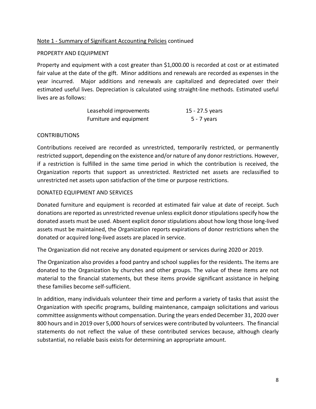#### Note 1 - Summary of Significant Accounting Policies continued

#### PROPERTY AND EQUIPMENT

Property and equipment with a cost greater than \$1,000.00 is recorded at cost or at estimated fair value at the date of the gift. Minor additions and renewals are recorded as expenses in the year incurred. Major additions and renewals are capitalized and depreciated over their estimated useful lives. Depreciation is calculated using straight-line methods. Estimated useful lives are as follows:

| Leasehold improvements  | 15 - 27.5 years |
|-------------------------|-----------------|
| Furniture and equipment | $5 - 7$ years   |

#### **CONTRIBUTIONS**

Contributions received are recorded as unrestricted, temporarily restricted, or permanently restricted support, depending on the existence and/or nature of any donor restrictions. However, if a restriction is fulfilled in the same time period in which the contribution is received, the Organization reports that support as unrestricted. Restricted net assets are reclassified to unrestricted net assets upon satisfaction of the time or purpose restrictions.

#### DONATED EQUIPMENT AND SERVICES

Donated furniture and equipment is recorded at estimated fair value at date of receipt. Such donations are reported as unrestricted revenue unless explicit donor stipulations specify how the donated assets must be used. Absent explicit donor stipulations about how long those long-lived assets must be maintained, the Organization reports expirations of donor restrictions when the donated or acquired long-lived assets are placed in service.

The Organization did not receive any donated equipment or services during 2020 or 2019.

The Organization also provides a food pantry and school supplies for the residents. The items are donated to the Organization by churches and other groups. The value of these items are not material to the financial statements, but these items provide significant assistance in helping these families become self-sufficient.

In addition, many individuals volunteer their time and perform a variety of tasks that assist the Organization with specific programs, building maintenance, campaign solicitations and various committee assignments without compensation. During the years ended December 31, 2020 over 800 hours and in 2019 over 5,000 hours of services were contributed by volunteers. The financial statements do not reflect the value of these contributed services because, although clearly substantial, no reliable basis exists for determining an appropriate amount.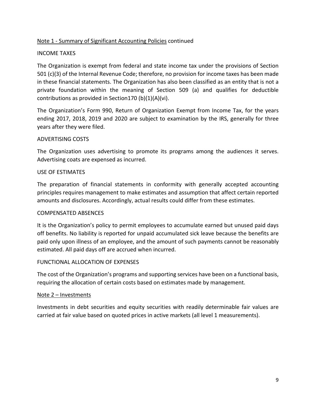#### Note 1 - Summary of Significant Accounting Policies continued

#### INCOME TAXES

The Organization is exempt from federal and state income tax under the provisions of Section 501 (c)(3) of the Internal Revenue Code; therefore, no provision for income taxes has been made in these financial statements. The Organization has also been classified as an entity that is not a private foundation within the meaning of Section 509 (a) and qualifies for deductible contributions as provided in Section170 (b)(1)(A)(vi).

The Organization's Form 990, Return of Organization Exempt from Income Tax, for the years ending 2017, 2018, 2019 and 2020 are subject to examination by the IRS, generally for three years after they were filed.

#### ADVERTISING COSTS

The Organization uses advertising to promote its programs among the audiences it serves. Advertising coats are expensed as incurred.

#### USE OF ESTIMATES

The preparation of financial statements in conformity with generally accepted accounting principles requires management to make estimates and assumption that affect certain reported amounts and disclosures. Accordingly, actual results could differ from these estimates.

#### COMPENSATED ABSENCES

It is the Organization's policy to permit employees to accumulate earned but unused paid days off benefits. No liability is reported for unpaid accumulated sick leave because the benefits are paid only upon illness of an employee, and the amount of such payments cannot be reasonably estimated. All paid days off are accrued when incurred.

#### FUNCTIONAL ALLOCATION OF EXPENSES

The cost of the Organization's programs and supporting services have been on a functional basis, requiring the allocation of certain costs based on estimates made by management.

#### Note 2 – Investments

Investments in debt securities and equity securities with readily determinable fair values are carried at fair value based on quoted prices in active markets (all level 1 measurements).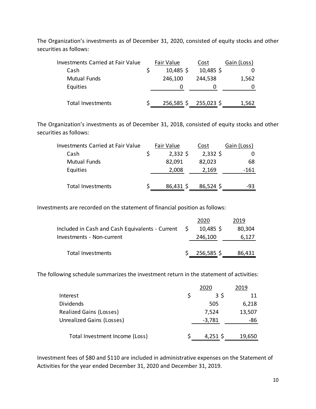The Organization's investments as of December 31, 2020, consisted of equity stocks and other securities as follows:

| <b>Investments Carried at Fair Value</b> | Fair Value  | Cost                  | Gain (Loss) |
|------------------------------------------|-------------|-----------------------|-------------|
| Cash                                     | $10,485$ \$ | $10,485$ \$           |             |
| <b>Mutual Funds</b>                      | 246,100     | 244,538               | 1,562       |
| Equities                                 | O           |                       |             |
|                                          |             |                       |             |
| <b>Total Investments</b>                 |             | $256,585$ \$255,023\$ | 1,562       |

The Organization's investments as of December 31, 2018, consisted of equity stocks and other securities as follows:

| <b>Investments Carried at Fair Value</b> | Fair Value  | Cost        | Gain (Loss) |
|------------------------------------------|-------------|-------------|-------------|
| Cash                                     | $2,332$ \$  | $2,332$ \$  |             |
| <b>Mutual Funds</b>                      | 82,091      | 82,023      | 68          |
| Equities                                 | 2,008       | 2,169       | -161        |
| <b>Total Investments</b>                 | $86,431$ \$ | $86,524$ \$ | -93         |

Investments are recorded on the statement of financial position as follows:

|                                                    | 2020        | 2019   |
|----------------------------------------------------|-------------|--------|
| Included in Cash and Cash Equivalents - Current \$ | $10,485$ \$ | 80,304 |
| Investments - Non-current                          | 246,100     | 6,127  |
|                                                    |             |        |
| Total Investments                                  | 256,585 \$  | 86,431 |

The following schedule summarizes the investment return in the statement of activities:

|                                |   | 2020       | 2019   |
|--------------------------------|---|------------|--------|
| Interest                       | S | 3\$        | 11     |
| <b>Dividends</b>               |   | 505        | 6,218  |
| Realized Gains (Losses)        |   | 7,524      | 13,507 |
| Unrealized Gains (Losses)      |   | $-3,781$   | -86    |
| Total Investment Income (Loss) |   | $4,251$ \$ | 19,650 |

Investment fees of \$80 and \$110 are included in administrative expenses on the Statement of Activities for the year ended December 31, 2020 and December 31, 2019.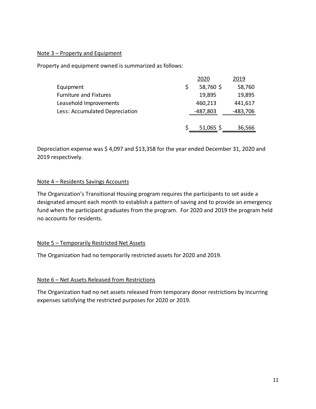#### Note 3 – Property and Equipment

Property and equipment owned is summarized as follows:

|                                |   | 2020        | 2019     |
|--------------------------------|---|-------------|----------|
| Equipment                      | S | 58,760 \$   | 58,760   |
| <b>Furniture and Fixtures</b>  |   | 19,895      | 19,895   |
| Leasehold Improvements         |   | 460,213     | 441,617  |
| Less: Accumulated Depreciation |   | $-487,803$  | -483,706 |
|                                |   | $51,065$ \$ | 36,566   |

Depreciation expense was \$ 4,097 and \$13,358 for the year ended December 31, 2020 and 2019 respectively.

#### Note 4 – Residents Savings Accounts

The Organization's Transitional Housing program requires the participants to set aside a designated amount each month to establish a pattern of saving and to provide an emergency fund when the participant graduates from the program. For 2020 and 2019 the program held no accounts for residents.

#### Note 5 – Temporarily Restricted Net Assets

The Organization had no temporarily restricted assets for 2020 and 2019.

#### Note 6 – Net Assets Released from Restrictions

The Organization had no net assets released from temporary donor restrictions by incurring expenses satisfying the restricted purposes for 2020 or 2019.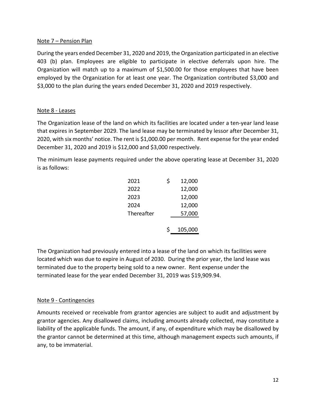#### Note 7 – Pension Plan

During the years ended December 31, 2020 and 2019, the Organization participated in an elective 403 (b) plan. Employees are eligible to participate in elective deferrals upon hire. The Organization will match up to a maximum of \$1,500.00 for those employees that have been employed by the Organization for at least one year. The Organization contributed \$3,000 and \$3,000 to the plan during the years ended December 31, 2020 and 2019 respectively.

#### Note 8 - Leases

The Organization lease of the land on which its facilities are located under a ten-year land lease that expires in September 2029. The land lease may be terminated by lessor after December 31, 2020, with six months' notice. The rent is \$1,000.00 per month. Rent expense for the year ended December 31, 2020 and 2019 is \$12,000 and \$3,000 respectively.

The minimum lease payments required under the above operating lease at December 31, 2020 is as follows:

| 2021       | Ś. | 12,000  |
|------------|----|---------|
| 2022       |    | 12,000  |
| 2023       |    | 12,000  |
| 2024       |    | 12,000  |
| Thereafter |    | 57,000  |
|            |    |         |
|            | Ś  | 105,000 |

The Organization had previously entered into a lease of the land on which its facilities were located which was due to expire in August of 2030. During the prior year, the land lease was terminated due to the property being sold to a new owner. Rent expense under the terminated lease for the year ended December 31, 2019 was \$19,909.94.

#### Note 9 - Contingencies

Amounts received or receivable from grantor agencies are subject to audit and adjustment by grantor agencies. Any disallowed claims, including amounts already collected, may constitute a liability of the applicable funds. The amount, if any, of expenditure which may be disallowed by the grantor cannot be determined at this time, although management expects such amounts, if any, to be immaterial.